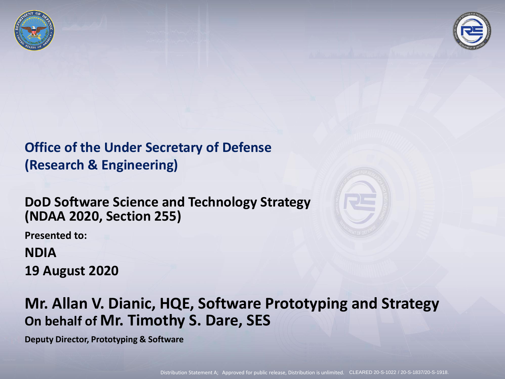



#### **Office of the Under Secretary of Defense (Research & Engineering)**

#### **DoD Software Science and Technology Strategy (NDAA 2020, Section 255)**

**Presented to:** 

#### **NDIA 19 August 2020**



#### **Mr. Allan V. Dianic, HQE, Software Prototyping and Strategy On behalf of Mr. Timothy S. Dare, SES**

**Deputy Director, Prototyping & Software**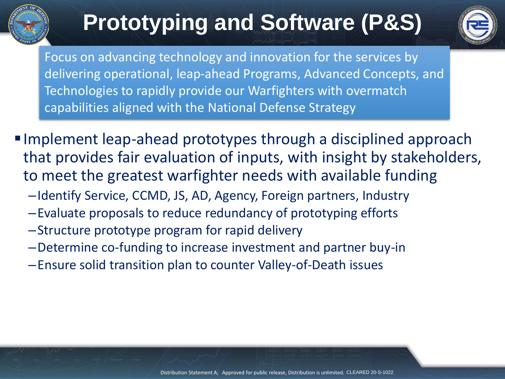

## **Prototyping and Software (P&S)**



Focus on advancing technology and innovation for the services by delivering operational, leap-ahead Programs, Advanced Concepts, and Technologies to rapidly provide our Warfighters with overmatch capabilities aligned with the National Defense Strategy

- ■Implement leap-ahead prototypes through a disciplined approach that provides fair evaluation of inputs, with insight by stakeholders, to meet the greatest warfighter needs with available funding
	- –Identify Service, CCMD, JS, AD, Agency, Foreign partners, Industry
	- –Evaluate proposals to reduce redundancy of prototyping efforts
	- –Structure prototype program for rapid delivery
	- –Determine co-funding to increase investment and partner buy-in
	- –Ensure solid transition plan to counter Valley-of-Death issues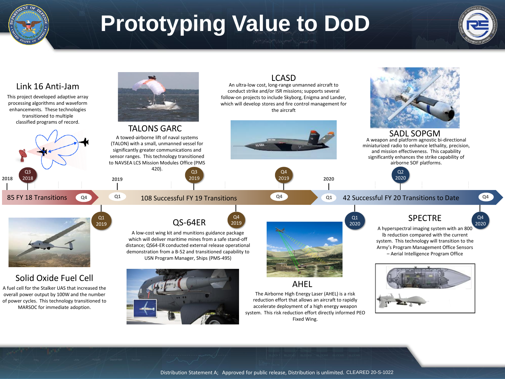

## **Prototyping Value to DoD**



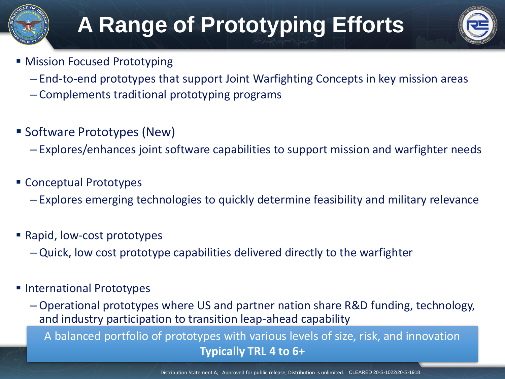## **A Range of Prototyping Efforts**



- Mission Focused Prototyping
	- End-to-end prototypes that support Joint Warfighting Concepts in key mission areas
	- Complements traditional prototyping programs
- Software Prototypes (New)
	- Explores/enhances joint software capabilities to support mission and warfighter needs
- Conceptual Prototypes
	- Explores emerging technologies to quickly determine feasibility and military relevance
- Rapid, low-cost prototypes
	- Quick, low cost prototype capabilities delivered directly to the warfighter
- International Prototypes
	- Operational prototypes where US and partner nation share R&D funding, technology, and industry participation to transition leap-ahead capability
		- A balanced portfolio of prototypes with various levels of size, risk, and innovation **Typically TRL 4 to 6+**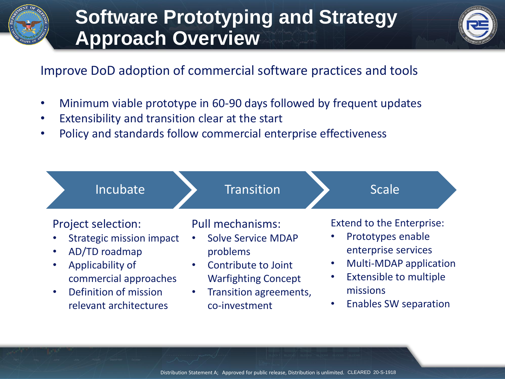

### **Software Prototyping and Strategy Approach Overview**



#### Improve DoD adoption of commercial software practices and tools

- Minimum viable prototype in 60-90 days followed by frequent updates
- Extensibility and transition clear at the start
- Policy and standards follow commercial enterprise effectiveness



Distribution Statement A; Approved for public release, Distribution is unlimited. CLEARED 20-S-1918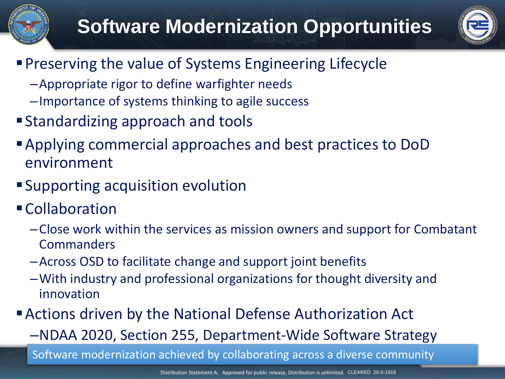## **Software Modernization Opportunities**



- **Preserving the value of Systems Engineering Lifecycle** 
	- –Appropriate rigor to define warfighter needs
	- –Importance of systems thinking to agile success
- Standardizing approach and tools
- ▪Applying commercial approaches and best practices to DoD environment
- **Supporting acquisition evolution**
- Collaboration
	- –Close work within the services as mission owners and support for Combatant Commanders
	- –Across OSD to facilitate change and support joint benefits
	- –With industry and professional organizations for thought diversity and innovation
- **Exercise 3 Actions driven by the National Defense Authorization Act** 
	- –NDAA 2020, Section 255, Department-Wide Software Strategy

Software modernization achieved by collaborating across a diverse community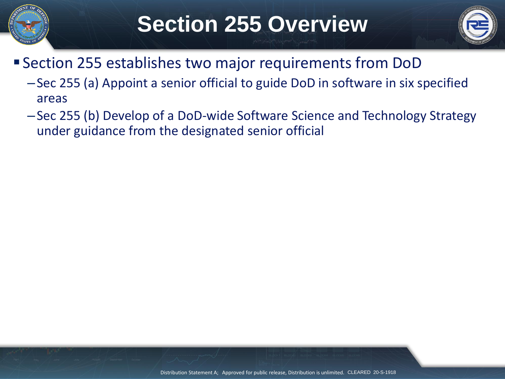

## **Section 255 Overview**



- ▪Section 255 establishes two major requirements from DoD
	- –Sec 255 (a) Appoint a senior official to guide DoD in software in six specified areas
	- –Sec 255 (b) Develop of a DoD-wide Software Science and Technology Strategy under guidance from the designated senior official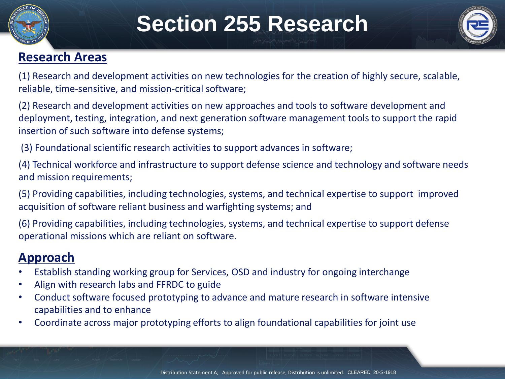

## **Section 255 Research**



#### **Research Areas**

(1) Research and development activities on new technologies for the creation of highly secure, scalable, reliable, time-sensitive, and mission-critical software;

(2) Research and development activities on new approaches and tools to software development and deployment, testing, integration, and next generation software management tools to support the rapid insertion of such software into defense systems;

(3) Foundational scientific research activities to support advances in software;

(4) Technical workforce and infrastructure to support defense science and technology and software needs and mission requirements;

(5) Providing capabilities, including technologies, systems, and technical expertise to support improved acquisition of software reliant business and warfighting systems; and

(6) Providing capabilities, including technologies, systems, and technical expertise to support defense operational missions which are reliant on software.

#### **Approach**

- Establish standing working group for Services, OSD and industry for ongoing interchange
- Align with research labs and FFRDC to guide
- Conduct software focused prototyping to advance and mature research in software intensive capabilities and to enhance
- Coordinate across major prototyping efforts to align foundational capabilities for joint use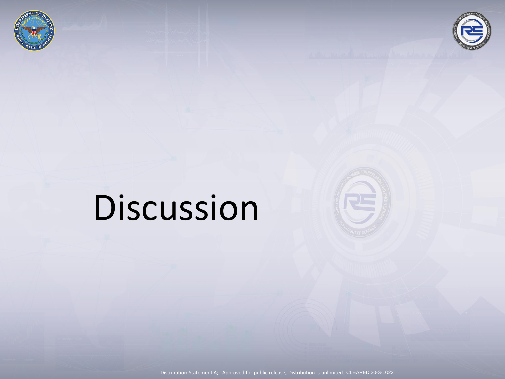



# Discussion



Distribution Statement A; Approved for public release, Distribution is unlimited. CLEARED 20-S-1022